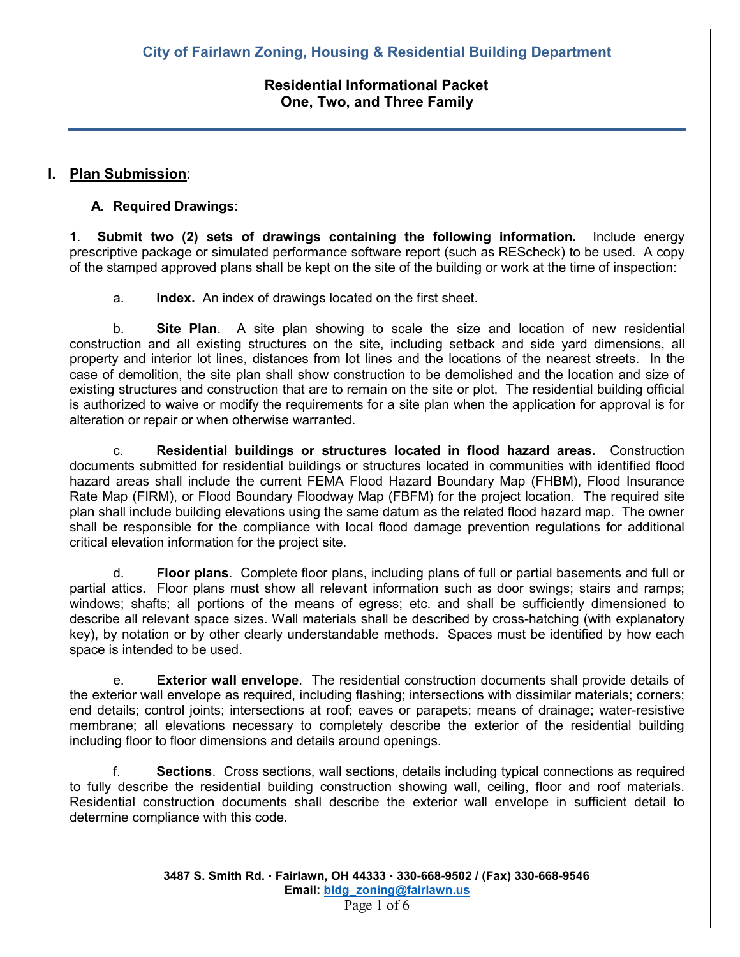# **Residential Informational Packet One, Two, and Three Family**

# **I. Plan Submission**:

## **A. Required Drawings**:

**1**. **Submit two (2) sets of drawings containing the following information.** Include energy prescriptive package or simulated performance software report (such as REScheck) to be used. A copy of the stamped approved plans shall be kept on the site of the building or work at the time of inspection:

a. **Index.** An index of drawings located on the first sheet.

b. **Site Plan**. A site plan showing to scale the size and location of new residential construction and all existing structures on the site, including setback and side yard dimensions, all property and interior lot lines, distances from lot lines and the locations of the nearest streets. In the case of demolition, the site plan shall show construction to be demolished and the location and size of existing structures and construction that are to remain on the site or plot. The residential building official is authorized to waive or modify the requirements for a site plan when the application for approval is for alteration or repair or when otherwise warranted.

c. **Residential buildings or structures located in flood hazard areas.** Construction documents submitted for residential buildings or structures located in communities with identified flood hazard areas shall include the current FEMA Flood Hazard Boundary Map (FHBM), Flood Insurance Rate Map (FIRM), or Flood Boundary Floodway Map (FBFM) for the project location. The required site plan shall include building elevations using the same datum as the related flood hazard map. The owner shall be responsible for the compliance with local flood damage prevention regulations for additional critical elevation information for the project site.

d. **Floor plans**. Complete floor plans, including plans of full or partial basements and full or partial attics. Floor plans must show all relevant information such as door swings; stairs and ramps; windows; shafts; all portions of the means of egress; etc. and shall be sufficiently dimensioned to describe all relevant space sizes. Wall materials shall be described by cross-hatching (with explanatory key), by notation or by other clearly understandable methods. Spaces must be identified by how each space is intended to be used.

e. **Exterior wall envelope**. The residential construction documents shall provide details of the exterior wall envelope as required, including flashing; intersections with dissimilar materials; corners; end details; control joints; intersections at roof; eaves or parapets; means of drainage; water-resistive membrane; all elevations necessary to completely describe the exterior of the residential building including floor to floor dimensions and details around openings.

f. **Sections**. Cross sections, wall sections, details including typical connections as required to fully describe the residential building construction showing wall, ceiling, floor and roof materials. Residential construction documents shall describe the exterior wall envelope in sufficient detail to determine compliance with this code.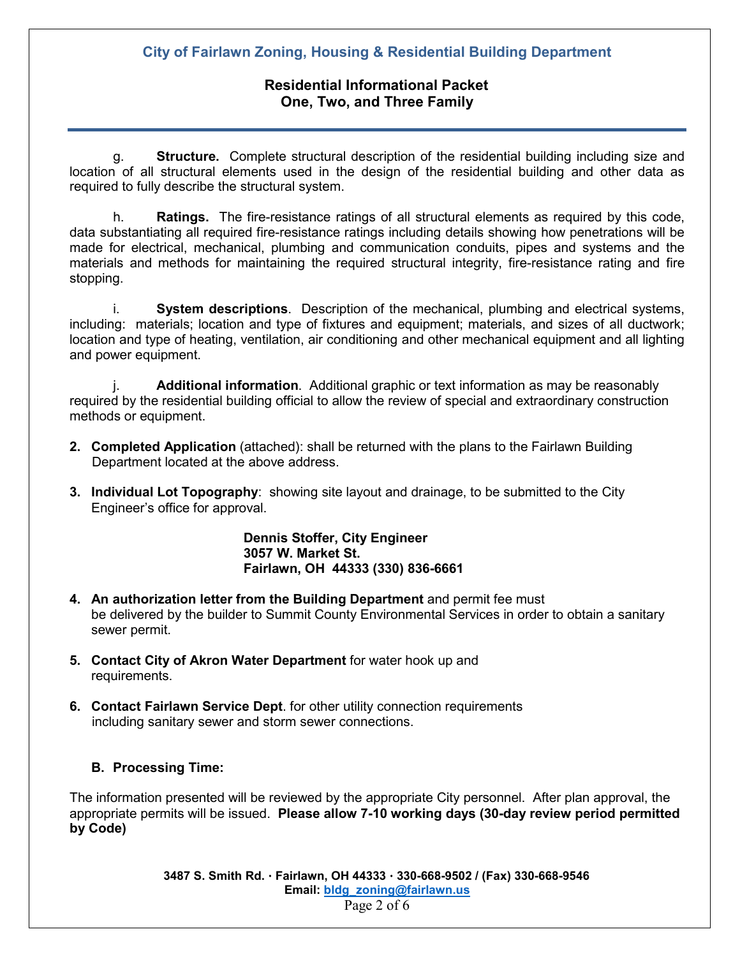# **Residential Informational Packet One, Two, and Three Family**

g. **Structure.** Complete structural description of the residential building including size and location of all structural elements used in the design of the residential building and other data as required to fully describe the structural system.

h. **Ratings.** The fire-resistance ratings of all structural elements as required by this code, data substantiating all required fire-resistance ratings including details showing how penetrations will be made for electrical, mechanical, plumbing and communication conduits, pipes and systems and the materials and methods for maintaining the required structural integrity, fire-resistance rating and fire stopping.

i. **System descriptions**. Description of the mechanical, plumbing and electrical systems, including: materials; location and type of fixtures and equipment; materials, and sizes of all ductwork; location and type of heating, ventilation, air conditioning and other mechanical equipment and all lighting and power equipment.

**Additional information**. Additional graphic or text information as may be reasonably required by the residential building official to allow the review of special and extraordinary construction methods or equipment.

- **2. Completed Application** (attached): shall be returned with the plans to the Fairlawn Building Department located at the above address.
- **3. Individual Lot Topography**: showing site layout and drainage, to be submitted to the City Engineer's office for approval.

**Dennis Stoffer, City Engineer 3057 W. Market St. Fairlawn, OH 44333 (330) 836-6661**

- **4. An authorization letter from the Building Department** and permit fee must be delivered by the builder to Summit County Environmental Services in order to obtain a sanitary sewer permit.
- **5. Contact City of Akron Water Department** for water hook up and requirements.
- **6. Contact Fairlawn Service Dept**. for other utility connection requirements including sanitary sewer and storm sewer connections.

### **B. Processing Time:**

The information presented will be reviewed by the appropriate City personnel. After plan approval, the appropriate permits will be issued. **Please allow 7-10 working days (30-day review period permitted by Code)**

> **3487 S. Smith Rd. Fairlawn, OH 44333 330-668-9502 / (Fax) 330-668-9546 Email: [bldg\\_zoning@fairlawn.us](mailto:bldg_zoning@fairlawn.us)** Page 2 of 6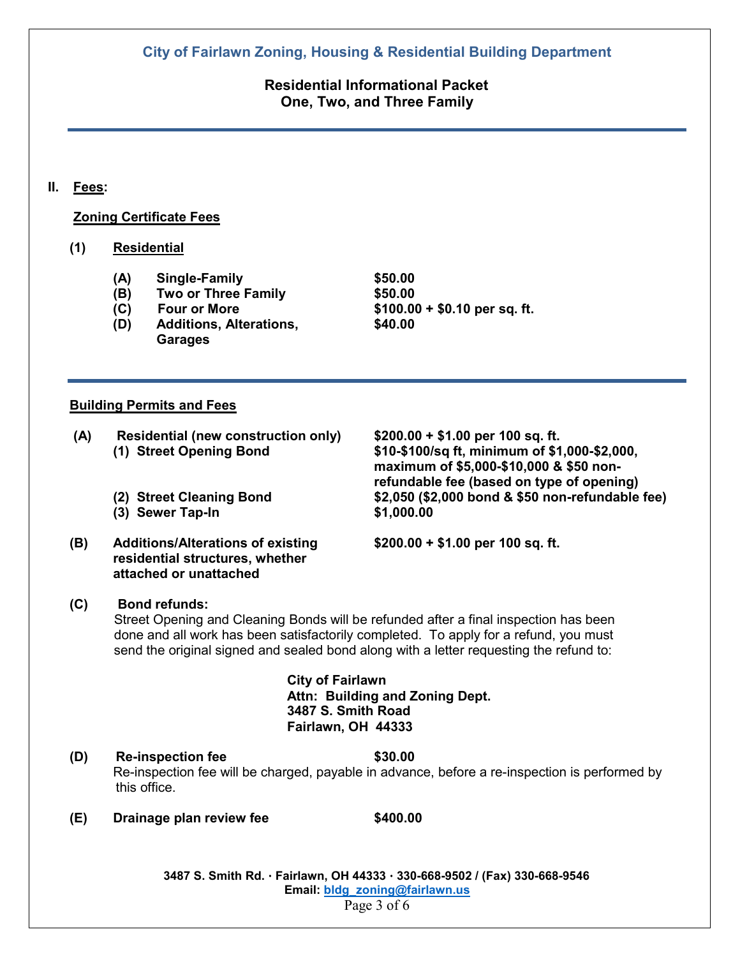**Residential Informational Packet One, Two, and Three Family**

**II. Fees:**

### **Zoning Certificate Fees**

### **(1) Residential**

- **(A) Single-Family \$50.00**
- **(B) Two or Three Family**<br>**(C) Four or More**
- 
- **(D) Additions, Alterations, \$40.00 Garages**

**(C) Four or More \$100.00 + \$0.10 per sq. ft.**

### **Building Permits and Fees**

**(A) Residential (new construction only) \$200.00 + \$1.00 per 100 sq. ft.** 

- **(3) Sewer Tap-In \$1,000.00**
- **(B) Additions/Alterations of existing \$200.00 + \$1.00 per 100 sq. ft. residential structures, whether attached or unattached**

**maximum of \$5,000-\$10,000 & \$50 nonrefundable fee (based on type of opening) (2) Street Cleaning Bond \$2,050 (\$2,000 bond & \$50 non-refundable fee)**

**(1) Street Opening Bond \$10-\$100/sq ft, minimum of \$1,000-\$2,000,** 

### **(C) Bond refunds:**

 Street Opening and Cleaning Bonds will be refunded after a final inspection has been done and all work has been satisfactorily completed. To apply for a refund, you must send the original signed and sealed bond along with a letter requesting the refund to:

> **City of Fairlawn Attn: Building and Zoning Dept. 3487 S. Smith Road Fairlawn, OH 44333**

- **(D) Re-inspection fee \$30.00** Re-inspection fee will be charged, payable in advance, before a re-inspection is performed by this office.
- **(E) Drainage plan review fee \$400.00**

 **3487 S. Smith Rd. Fairlawn, OH 44333 330-668-9502 / (Fax) 330-668-9546 Email: [bldg\\_zoning@fairlawn.us](mailto:bldg_zoning@fairlawn.us)** Page 3 of 6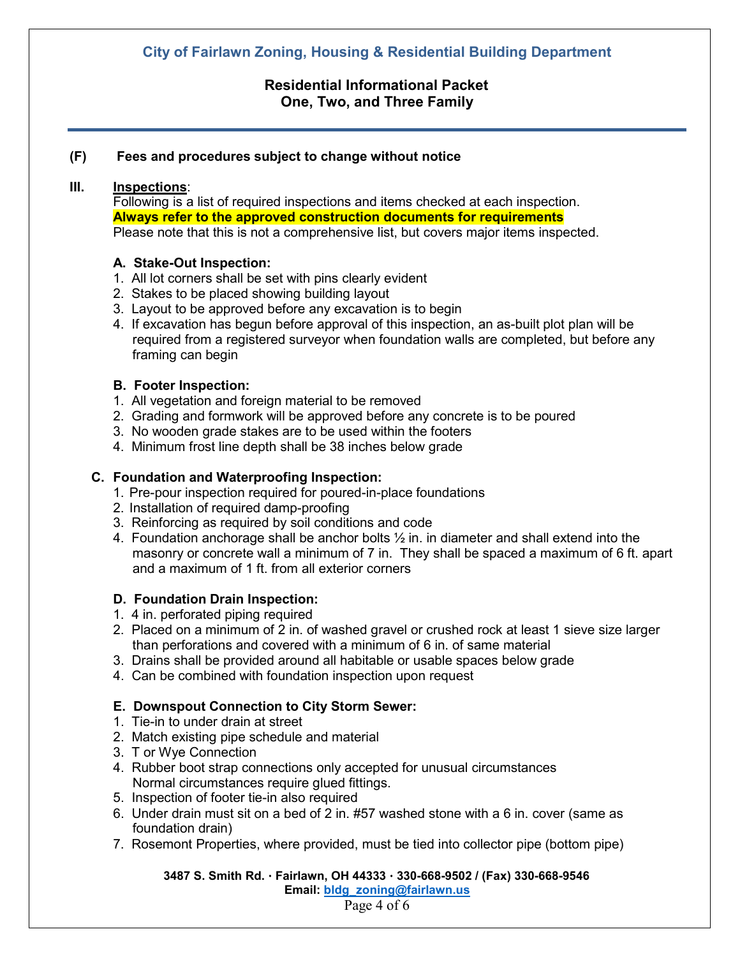# **Residential Informational Packet One, Two, and Three Family**

### **(F) Fees and procedures subject to change without notice**

## **III. Inspections**:

Following is a list of required inspections and items checked at each inspection. **Always refer to the approved construction documents for requirements** Please note that this is not a comprehensive list, but covers major items inspected.

### **A. Stake-Out Inspection:**

- 1. All lot corners shall be set with pins clearly evident
- 2. Stakes to be placed showing building layout
- 3. Layout to be approved before any excavation is to begin
- 4. If excavation has begun before approval of this inspection, an as-built plot plan will be required from a registered surveyor when foundation walls are completed, but before any framing can begin

### **B. Footer Inspection:**

- 1. All vegetation and foreign material to be removed
- 2. Grading and formwork will be approved before any concrete is to be poured
- 3. No wooden grade stakes are to be used within the footers
- 4. Minimum frost line depth shall be 38 inches below grade

### **C. Foundation and Waterproofing Inspection:**

- 1. Pre-pour inspection required for poured-in-place foundations
- 2. Installation of required damp-proofing
- 3. Reinforcing as required by soil conditions and code
- 4. Foundation anchorage shall be anchor bolts  $\frac{1}{2}$  in. in diameter and shall extend into the masonry or concrete wall a minimum of 7 in. They shall be spaced a maximum of 6 ft. apart and a maximum of 1 ft. from all exterior corners

#### **D. Foundation Drain Inspection:**

- 1. 4 in. perforated piping required
- 2. Placed on a minimum of 2 in. of washed gravel or crushed rock at least 1 sieve size larger than perforations and covered with a minimum of 6 in. of same material
- 3. Drains shall be provided around all habitable or usable spaces below grade
- 4. Can be combined with foundation inspection upon request

### **E. Downspout Connection to City Storm Sewer:**

- 1. Tie-in to under drain at street
- 2. Match existing pipe schedule and material
- 3. T or Wye Connection
- 4. Rubber boot strap connections only accepted for unusual circumstances Normal circumstances require glued fittings.
- 5. Inspection of footer tie-in also required
- 6. Under drain must sit on a bed of 2 in. #57 washed stone with a 6 in. cover (same as foundation drain)
- 7. Rosemont Properties, where provided, must be tied into collector pipe (bottom pipe)

 **3487 S. Smith Rd. Fairlawn, OH 44333 330-668-9502 / (Fax) 330-668-9546** 

 **Email: [bldg\\_zoning@fairlawn.us](mailto:bldg_zoning@fairlawn.us)**

Page 4 of 6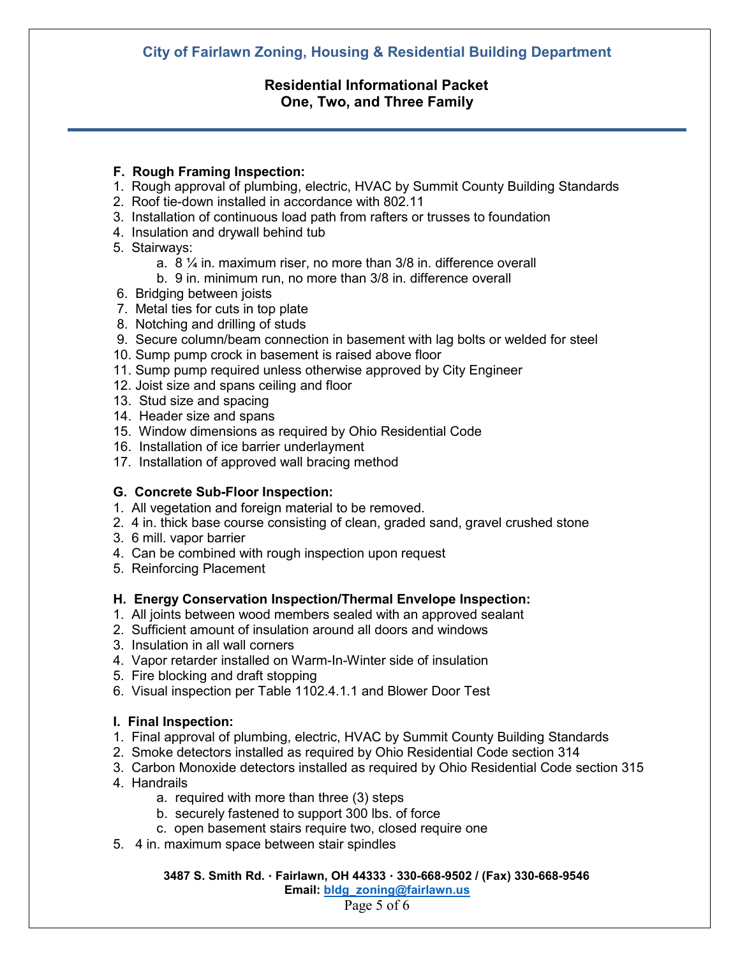## **Residential Informational Packet One, Two, and Three Family**

### **F. Rough Framing Inspection:**

- 1. Rough approval of plumbing, electric, HVAC by Summit County Building Standards
- 2. Roof tie-down installed in accordance with 802.11
- 3. Installation of continuous load path from rafters or trusses to foundation
- 4. Insulation and drywall behind tub
- 5. Stairways:
	- a. 8 ¼ in. maximum riser, no more than 3/8 in. difference overall
	- b. 9 in. minimum run, no more than 3/8 in. difference overall
- 6. Bridging between joists
- 7. Metal ties for cuts in top plate
- 8. Notching and drilling of studs
- 9. Secure column/beam connection in basement with lag bolts or welded for steel
- 10. Sump pump crock in basement is raised above floor
- 11. Sump pump required unless otherwise approved by City Engineer
- 12. Joist size and spans ceiling and floor
- 13. Stud size and spacing
- 14. Header size and spans
- 15. Window dimensions as required by Ohio Residential Code
- 16. Installation of ice barrier underlayment
- 17. Installation of approved wall bracing method

### **G. Concrete Sub-Floor Inspection:**

- 1. All vegetation and foreign material to be removed.
- 2. 4 in. thick base course consisting of clean, graded sand, gravel crushed stone
- 3. 6 mill. vapor barrier
- 4. Can be combined with rough inspection upon request
- 5. Reinforcing Placement

### **H. Energy Conservation Inspection/Thermal Envelope Inspection:**

- 1. All joints between wood members sealed with an approved sealant
- 2. Sufficient amount of insulation around all doors and windows
- 3. Insulation in all wall corners
- 4. Vapor retarder installed on Warm-In-Winter side of insulation
- 5. Fire blocking and draft stopping
- 6. Visual inspection per Table 1102.4.1.1 and Blower Door Test

#### **I. Final Inspection:**

- 1. Final approval of plumbing, electric, HVAC by Summit County Building Standards
- 2. Smoke detectors installed as required by Ohio Residential Code section 314
- 3. Carbon Monoxide detectors installed as required by Ohio Residential Code section 315
- 4. Handrails
	- a. required with more than three (3) steps
	- b. securely fastened to support 300 lbs. of force
	- c. open basement stairs require two, closed require one
- 5. 4 in. maximum space between stair spindles

 **3487 S. Smith Rd. Fairlawn, OH 44333 330-668-9502 / (Fax) 330-668-9546** 

 **Email: [bldg\\_zoning@fairlawn.us](mailto:bldg_zoning@fairlawn.us)**

Page 5 of 6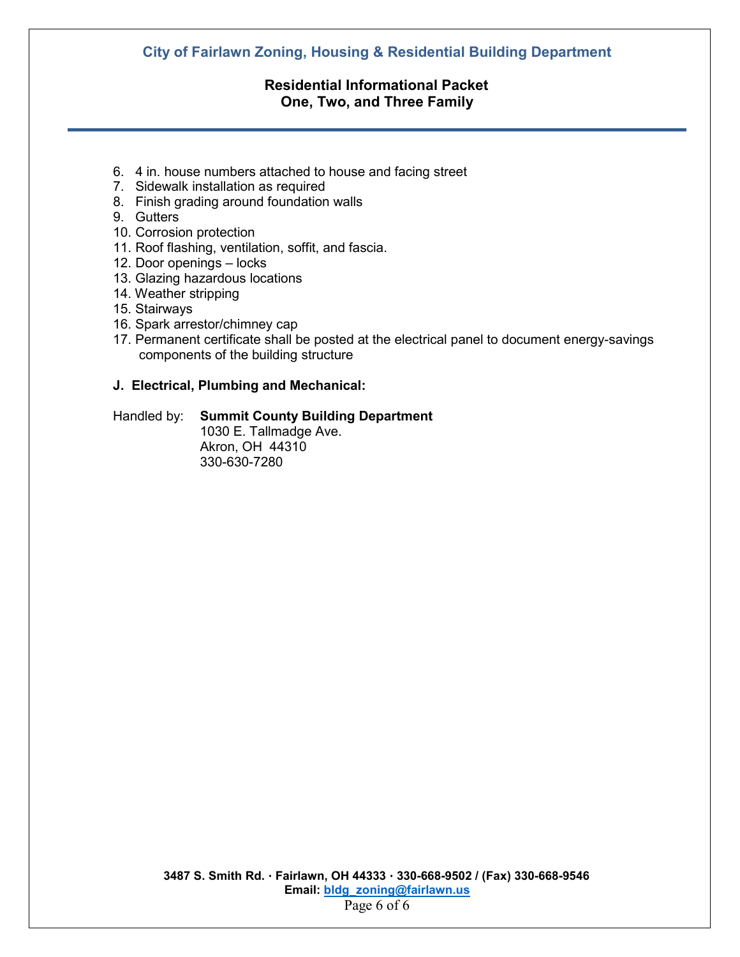## **Residential Informational Packet One, Two, and Three Family**

- 6. 4 in. house numbers attached to house and facing street
- 7. Sidewalk installation as required
- 8. Finish grading around foundation walls
- 9. Gutters
- 10. Corrosion protection
- 11. Roof flashing, ventilation, soffit, and fascia.
- 12. Door openings locks
- 13. Glazing hazardous locations
- 14. Weather stripping
- 15. Stairways
- 16. Spark arrestor/chimney cap
- 17. Permanent certificate shall be posted at the electrical panel to document energy-savings components of the building structure

### **J. Electrical, Plumbing and Mechanical:**

### Handled by: **Summit County Building Department**

1030 E. Tallmadge Ave. Akron, OH 44310 330-630-7280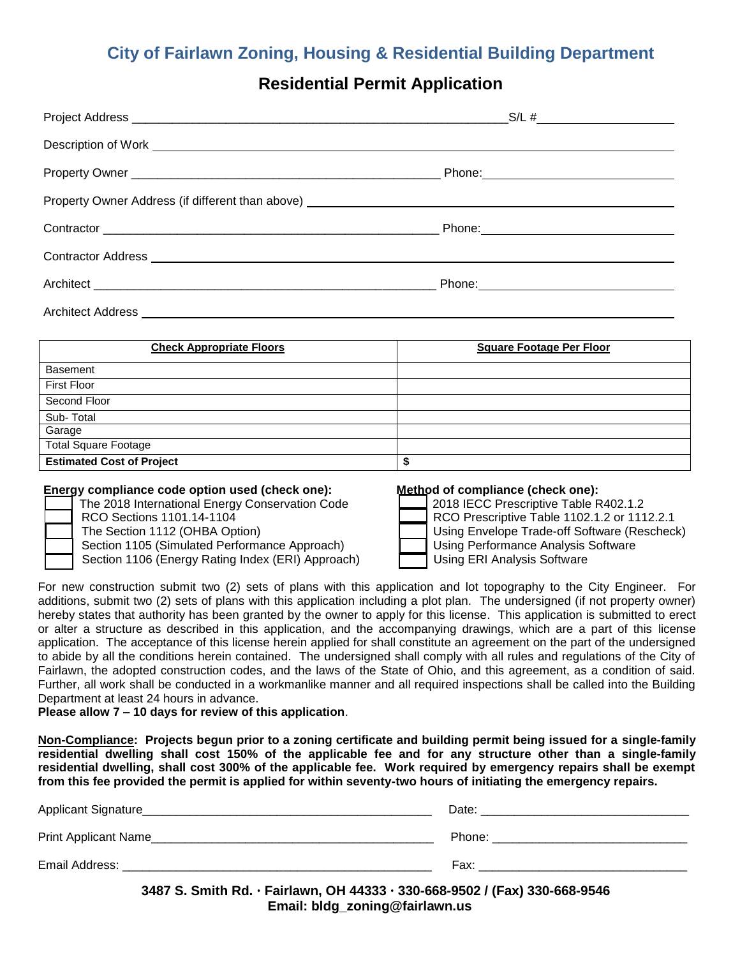# **Residential Permit Application**

| Architect Address <b>Architect Address</b> Architect Address <b>Architect Address</b> Architect Address <b>Architect Address</b> |  |
|----------------------------------------------------------------------------------------------------------------------------------|--|

| <b>Check Appropriate Floors</b>  | <b>Square Footage Per Floor</b> |
|----------------------------------|---------------------------------|
| Basement                         |                                 |
| <b>First Floor</b>               |                                 |
| Second Floor                     |                                 |
| Sub-Total                        |                                 |
| Garage                           |                                 |
| <b>Total Square Footage</b>      |                                 |
| <b>Estimated Cost of Project</b> | ₽                               |

#### **Energy compliance code option used (check one): Method of compliance (check one):**

| The 2018 International Energy Conservation Code   | 2018 IECC Prescriptive Table R402.1.2        |
|---------------------------------------------------|----------------------------------------------|
| RCO Sections 1101.14-1104                         | RCO Prescriptive Table 1102.1.2 or 1112.2.1  |
| The Section 1112 (OHBA Option)                    | Using Envelope Trade-off Software (Rescheck) |
| Section 1105 (Simulated Performance Approach)     | Using Performance Analysis Software          |
| Section 1106 (Energy Rating Index (ERI) Approach) | Using ERI Analysis Software                  |

For new construction submit two (2) sets of plans with this application and lot topography to the City Engineer. For additions, submit two (2) sets of plans with this application including a plot plan. The undersigned (if not property owner) hereby states that authority has been granted by the owner to apply for this license. This application is submitted to erect or alter a structure as described in this application, and the accompanying drawings, which are a part of this license application. The acceptance of this license herein applied for shall constitute an agreement on the part of the undersigned to abide by all the conditions herein contained. The undersigned shall comply with all rules and regulations of the City of Fairlawn, the adopted construction codes, and the laws of the State of Ohio, and this agreement, as a condition of said. Further, all work shall be conducted in a workmanlike manner and all required inspections shall be called into the Building Department at least 24 hours in advance.

**Please allow 7 – 10 days for review of this application**.

**Non-Compliance: Projects begun prior to a zoning certificate and building permit being issued for a single-family residential dwelling shall cost 150% of the applicable fee and for any structure other than a single-family residential dwelling, shall cost 300% of the applicable fee. Work required by emergency repairs shall be exempt from this fee provided the permit is applied for within seventy-two hours of initiating the emergency repairs.** 

| Applicant Signature_ | Date:  |
|----------------------|--------|
| Print Applicant Name | Phone: |
| Email Address:       | Fax:   |

**3487 S. Smith Rd. Fairlawn, OH 44333 330-668-9502 / (Fax) 330-668-9546 Email: bldg\_zoning@fairlawn.us**